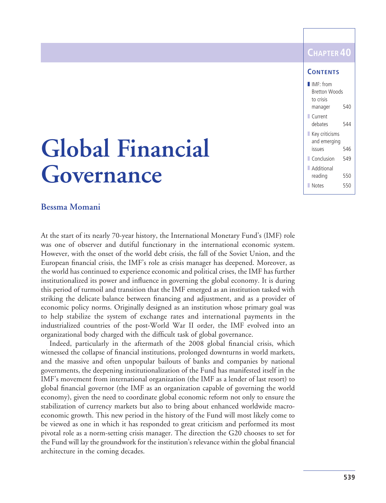## **[CHAPTER](#page-8-0) 40 CONTENTS** IMF: from Bretton Woods to crisis [manager 540](#page--1-0)

#### z Current [debates 544](#page--1-0)  $\blacksquare$  Key criticisms and emerging [issues 546](#page--1-0) [Conclusion 549](#page--1-0) **Additional** [reading 550](#page--1-0) [Notes 550](#page--1-0)

# **[Global Financial](#page-8-0) Governance**

## **Bessma Momani**

At the start of its nearly 70-year history, the International Monetary Fund's (IMF) role was one of observer and dutiful functionary in the international economic system. However, with the onset of the world debt crisis, the fall of the Soviet Union, and the European financial crisis, the IMF's role as crisis manager has deepened. Moreover, as the world has continued to experience economic and political crises, the IMF has further institutionalized its power and influence in governing the global economy. It is during this period of turmoil and transition that the IMF emerged as an institution tasked with striking the delicate balance between financing and adjustment, and as a provider of economic policy norms. Originally designed as an institution whose primary goal was to help stabilize the system of exchange rates and international payments in the industrialized countries of the post-World War II order, the IMF evolved into an organizational body charged with the difficult task of global governance.

Indeed, particularly in the aftermath of the 2008 global financial crisis, which witnessed the collapse of financial institutions, prolonged downturns in world markets, and the massive and often unpopular bailouts of banks and companies by national governments, the deepening institutionalization of the Fund has manifested itself in the IMF's movement from international organization (the IMF as a lender of last resort) to global financial governor (the IMF as an organization capable of governing the world economy), given the need to coordinate global economic reform not only to ensure the stabilization of currency markets but also to bring about enhanced worldwide macroeconomic growth. This new period in the history of the Fund will most likely come to be viewed as one in which it has responded to great criticism and performed its most pivotal role as a norm-setting crisis manager. The direction the G20 chooses to set for the Fund will lay the groundwork for the institution's relevance within the global financial architecture in the coming decades.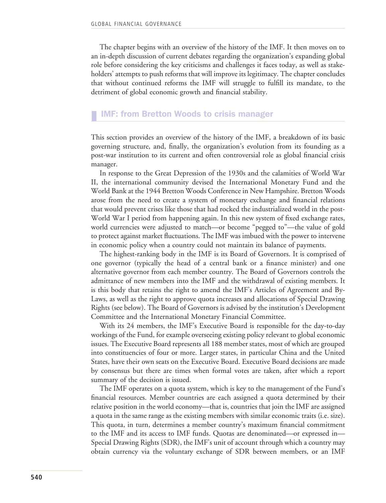The chapter begins with an overview of the history of the IMF. It then moves on to an in-depth discussion of current debates regarding the organization's expanding global role before considering the key criticisms and challenges it faces today, as well as stake holders' attempts to push reforms that will improve its legitimacy. The chapter concludes that without continued reforms the IMF will struggle to fulfill its mandate, to the detriment of global economic growth and financial stability.

#### **IMF: from Bretton Woods to crisis manager**

This section provides an overview of the history of the IMF, a breakdown of its basic governing structure, and, finally, the organization's evolution from its founding as a post-war institution to its current and often controversial role as global financial crisis manager.

In response to the Great Depression of the 1930s and the calamities of World War II, the international community devised the International Monetary Fund and the World Bank at the 1944 Bretton Woods Conference in New Hampshire. Bretton Woods arose from the need to create a system of monetary exchange and financial relations that would prevent crises like those that had rocked the industrialized world in the post-World War I period from happening again. In this new system of fixed exchange rates, world currencies were adjusted to match—or become "pegged to"—the value of gold to protect against market fluctuations. The IMF was imbued with the power to intervene in economic policy when a country could not maintain its balance of payments.

The highest-ranking body in the IMF is its Board of Governors. It is comprised of one governor (typically the head of a central bank or a finance minister) and one alternative governor from each member country. The Board of Governors controls the admittance of new members into the IMF and the withdrawal of existing members. It is this body that retains the right to amend the IMF's Articles of Agreement and By-Laws, as well as the right to approve quota increases and allocations of Special Drawing Rights (see below). The Board of Governors is advised by the institution's Development Committee and the International Monetary Financial Committee.

With its 24 members, the IMF's Executive Board is responsible for the day-to-day workings of the Fund, for example overseeing existing policy relevant to global economic issues. The Executive Board represents all 188 member states, most of which are grouped into constituencies of four or more. Larger states, in particular China and the United States, have their own seats on the Executive Board. Executive Board decisions are made by consensus but there are times when formal votes are taken, after which a report summary of the decision is issued.

The IMF operates on a quota system, which is key to the management of the Fund's financial resources. Member countries are each assigned a quota determined by their relative position in the world economy—that is, countries that join the IMF are assigned a quota in the same range as the existing members with similar economic traits (i.e. size). This quota, in turn, determines a member country's maximum financial commitment to the IMF and its access to IMF funds. Quotas are denominated—or expressed in— Special Drawing Rights (SDR), the IMF's unit of account through which a country may obtain currency via the voluntary exchange of SDR between members, or an IMF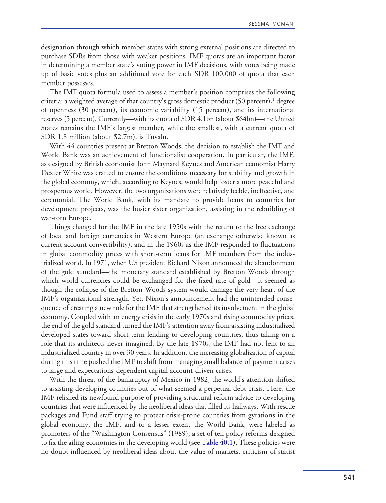designation through which member states with strong external positions are directed to purchase SDRs from those with weaker positions. IMF quotas are an important factor in determining a member state's voting power in IMF decisions, with votes being made up of basic votes plus an additional vote for each SDR 100,000 of quota that each member possesses.

The IMF quota formula used to assess a member's position comprises the following criteria: a weighted average of that country's gross domestic product  $(50 \text{ percent})^1$  degree of openness (30 percent), its economic variability (15 percent), and its international reserves (5 percent). Currently—with its quota of SDR 4.1bn (about \$64bn)—the United States remains the IMF's largest member, while the smallest, with a current quota of SDR 1.8 million (about \$2.7m), is Tuvalu.

With 44 countries present at Bretton Woods, the decision to establish the IMF and World Bank was an achievement of functionalist cooperation. In particular, the IMF, as designed by British economist John Maynard Keynes and American economist Harry Dexter White was crafted to ensure the conditions necessary for stability and growth in the global economy, which, according to Keynes, would help foster a more peaceful and prosperous world. However, the two organizations were relatively feeble, ineffective, and ceremonial. The World Bank, with its mandate to provide loans to countries for development projects, was the busier sister organization, assisting in the rebuilding of war-torn Europe.

Things changed for the IMF in the late 1950s with the return to the free exchange of local and foreign currencies in Western Europe (an exchange otherwise known as current account convertibility), and in the 1960s as the IMF responded to fluctuations in global commodity prices with short-term loans for IMF members from the indus trialized world. In 1971, when US president Richard Nixon announced the abandonment of the gold standard—the monetary standard established by Bretton Woods through which world currencies could be exchanged for the fixed rate of gold—it seemed as though the collapse of the Bretton Woods system would damage the very heart of the IMF's organizational strength. Yet, Nixon's announcement had the unintended consequence of creating a new role for the IMF that strengthened its involvement in the global economy. Coupled with an energy crisis in the early 1970s and rising commodity prices, the end of the gold standard turned the IMF's attention away from assisting industrialized developed states toward short-term lending to developing countries, thus taking on a role that its architects never imagined. By the late 1970s, the IMF had not lent to an industrialized country in over 30 years. In addition, the increasing globalization of capital during this time pushed the IMF to shift from managing small balance-of-payment crises to large and expectations-dependent capital account driven crises.

With the threat of the bankruptcy of Mexico in 1982, the world's attention shifted to assisting developing countries out of what seemed a perpetual debt crisis. Here, the IMF relished its newfound purpose of providing structural reform advice to developing countries that were influenced by the neoliberal ideas that filled its hallways. With rescue packages and Fund staff trying to protect crisis-prone countries from gyrations in the global economy, the IMF, and to a lesser extent the World Bank, were labeled as promoters of the "Washington Consensus" (1989), a set of ten policy reforms designed to fix the ailing economies in the developing world (see [Table 40.1](#page--1-0)). These policies were no doubt influenced by neoliberal ideas about the value of markets, criticism of statist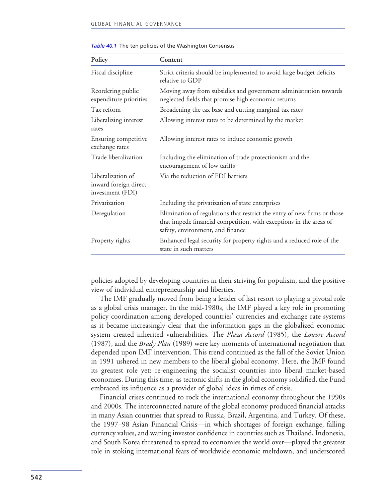| Policy                                                         | Content                                                                                                                                                                            |  |  |  |
|----------------------------------------------------------------|------------------------------------------------------------------------------------------------------------------------------------------------------------------------------------|--|--|--|
| Fiscal discipline                                              | Strict criteria should be implemented to avoid large budget deficits<br>relative to GDP                                                                                            |  |  |  |
| Reordering public<br>expenditure priorities                    | Moving away from subsidies and government administration towards<br>neglected fields that promise high economic returns                                                            |  |  |  |
| Tax reform                                                     | Broadening the tax base and cutting marginal tax rates                                                                                                                             |  |  |  |
| Liberalizing interest<br>rates                                 | Allowing interest rates to be determined by the market                                                                                                                             |  |  |  |
| Ensuring competitive<br>exchange rates                         | Allowing interest rates to induce economic growth                                                                                                                                  |  |  |  |
| Trade liberalization                                           | Including the elimination of trade protectionism and the<br>encouragement of low tariffs                                                                                           |  |  |  |
| Liberalization of<br>inward foreign direct<br>investment (FDI) | Via the reduction of FDI barriers                                                                                                                                                  |  |  |  |
| Privatization                                                  | Including the privatization of state enterprises                                                                                                                                   |  |  |  |
| Deregulation                                                   | Elimination of regulations that restrict the entry of new firms or those<br>that impede financial competition, with exceptions in the areas of<br>safety, environment, and finance |  |  |  |
| Property rights                                                | Enhanced legal security for property rights and a reduced role of the<br>state in such matters                                                                                     |  |  |  |

|  |  |  |  | Table 40.1 The ten policies of the Washington Consensus |  |
|--|--|--|--|---------------------------------------------------------|--|
|--|--|--|--|---------------------------------------------------------|--|

policies adopted by developing countries in their striving for populism, and the positive view of individual entrepreneurship and liberties.

The IMF gradually moved from being a lender of last resort to playing a pivotal role as a global crisis manager. In the mid-1980s, the IMF played a key role in promoting policy coordination among developed countries' currencies and exchange rate systems as it became increasingly clear that the information gaps in the globalized economic system created inherited vulnerabilities. The *Plaza Accord* (1985), the *Louvre Accord* (1987), and the *Brady Plan* (1989) were key moments of international negotiation that depended upon IMF intervention. This trend continued as the fall of the Soviet Union in 1991 ushered in new members to the liberal global economy. Here, the IMF found its greatest role yet: re-engineering the socialist countries into liberal market-based economies. During this time, as tectonic shifts in the global economy solidified, the Fund embraced its influence as a provider of global ideas in times of crisis.

Financial crises continued to rock the international economy throughout the 1990s and 2000s. The interconnected nature of the global economy produced financial attacks in many Asian countries that spread to Russia, Brazil, Argentina, and Turkey. Of these, the 1997–98 Asian Financial Crisis—in which shortages of foreign exchange, falling currency values, and waning investor confidence in countries such as Thailand, Indonesia, and South Korea threatened to spread to economies the world over—played the greatest role in stoking international fears of worldwide economic meltdown, and underscored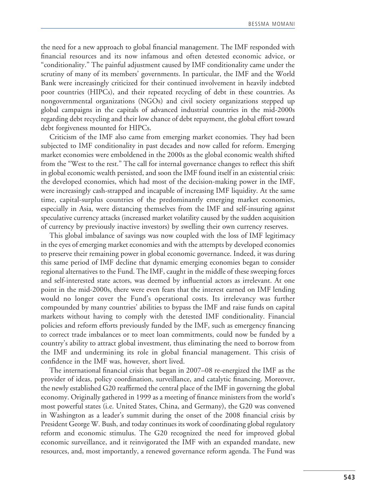the need for a new approach to global financial management. The IMF responded with financial resources and its now infamous and often detested economic advice, or "conditionality." The painful adjustment caused by IMF conditionality came under the scrutiny of many of its members' governments. In particular, the IMF and the World Bank were increasingly criticized for their continued involvement in heavily indebted poor countries (HIPCs), and their repeated recycling of debt in these countries. As nongovernmental organizations (NGOs) and civil society organizations stepped up global campaigns in the capitals of advanced industrial countries in the mid-2000s regarding debt recycling and their low chance of debt repayment, the global effort toward debt forgiveness mounted for HIPCs.

Criticism of the IMF also came from emerging market economies. They had been subjected to IMF conditionality in past decades and now called for reform. Emerging market economies were emboldened in the 2000s as the global economic wealth shifted from the "West to the rest." The call for internal governance changes to reflect this shift in global economic wealth persisted, and soon the IMF found itself in an existential crisis: the developed economies, which had most of the decision-making power in the IMF, were increasingly cash-strapped and incapable of increasing IMF liquidity. At the same time, capital-surplus countries of the predominantly emerging market economies, especially in Asia, were distancing themselves from the IMF and self-insuring against speculative currency attacks (increased market volatility caused by the sudden acquisition of currency by previously inactive investors) by swelling their own currency reserves.

This global imbalance of savings was now coupled with the loss of IMF legitimacy in the eyes of emerging market economies and with the attempts by developed economies to preserve their remaining power in global economic governance. Indeed, it was during this same period of IMF decline that dynamic emerging economies began to consider regional alternatives to the Fund. The IMF, caught in the middle of these sweeping forces and self-interested state actors, was deemed by influential actors as irrelevant. At one point in the mid-2000s, there were even fears that the interest earned on IMF lending would no longer cover the Fund's operational costs. Its irrelevancy was further compounded by many countries' abilities to bypass the IMF and raise funds on capital markets without having to comply with the detested IMF conditionality. Financial policies and reform efforts previously funded by the IMF, such as emergency financing to correct trade imbalances or to meet loan commitments, could now be funded by a country's ability to attract global investment, thus eliminating the need to borrow from the IMF and undermining its role in global financial management. This crisis of confidence in the IMF was, however, short lived.

The international financial crisis that began in 2007–08 re-energized the IMF as the provider of ideas, policy coordination, surveillance, and catalytic financing. Moreover, the newly established G20 reaffirmed the central place of the IMF in governing the global economy. Originally gathered in 1999 as a meeting of finance ministers from the world's most powerful states (i.e. United States, China, and Germany), the G20 was convened in Washington as a leader's summit during the onset of the 2008 financial crisis by President George W. Bush, and today continues its work of coordinating global regulatory reform and economic stimulus. The G20 recognized the need for improved global economic surveillance, and it reinvigorated the IMF with an expanded mandate, new resources, and, most importantly, a renewed governance reform agenda. The Fund was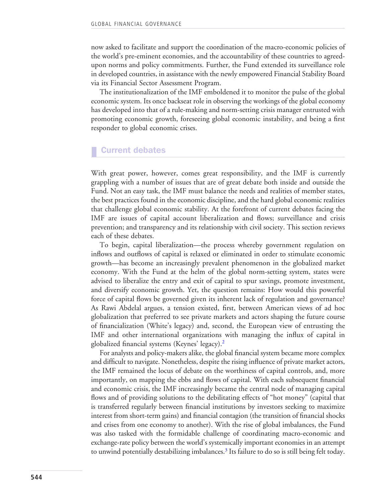now asked to facilitate and support the coordination of the macro-economic policies of the world's pre-eminent economies, and the accountability of these countries to agreedupon norms and policy commitments. Further, the Fund extended its surveillance role in developed countries, in assistance with the newly empowered Financial Stability Board via its Financial Sector Assessment Program.

The institutionalization of the IMF emboldened it to monitor the pulse of the global economic system. Its once backseat role in observing the workings of the global economy has developed into that of a rule-making and norm-setting crisis manager entrusted with promoting economic growth, foreseeing global economic instability, and being a first responder to global economic crises.

#### **Current debates**

With great power, however, comes great responsibility, and the IMF is currently grappling with a number of issues that are of great debate both inside and outside the Fund. Not an easy task, the IMF must balance the needs and realities of member states, the best practices found in the economic discipline, and the hard global economic realities that challenge global economic stability. At the forefront of current debates facing the IMF are issues of capital account liberalization and flows; surveillance and crisis prevention; and transparency and its relationship with civil society. This section reviews each of these debates.

To begin, capital liberalization—the process whereby government regulation on inflows and outflows of capital is relaxed or eliminated in order to stimulate economic growth—has become an increasingly prevalent phenomenon in the globalized market economy. With the Fund at the helm of the global norm-setting system, states were advised to liberalize the entry and exit of capital to spur savings, promote investment, and diversify economic growth. Yet, the question remains: How would this powerful force of capital flows be governed given its inherent lack of regulation and governance? As Rawi Abdelal argues, a tension existed, first, between American views of ad hoc globalization that preferred to see private markets and actors shaping the future course of financialization (White's legacy) and, second, the European view of entrusting the IMF and other international organizations with managing the influx of capital in globalized financial systems (Keynes' legacy)[.2](#page--1-0)

For analysts and policy-makers alike, the global financial system became more complex and difficult to navigate. Nonetheless, despite the rising influence of private market actors, the IMF remained the locus of debate on the worthiness of capital controls, and, more importantly, on mapping the ebbs and flows of capital. With each subsequent financial and economic crisis, the IMF increasingly became the central node of managing capital flows and of providing solutions to the debilitating effects of "hot money" (capital that is transferred regularly between financial institutions by investors seeking to maximize interest from short-term gains) and financial contagion (the transition of financial shocks and crises from one economy to another). With the rise of global imbalances, the Fund was also tasked with the formidable challenge of coordinating macro-economic and exchange-rate policy between the world's systemically important economies in an attempt to unwind potentially destabilizing imbalances.<sup>3</sup> Its failure to do so is still being felt today.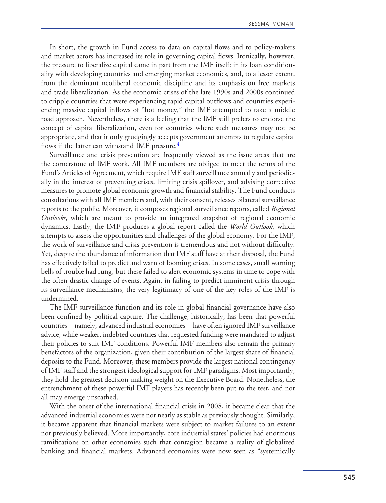In short, the growth in Fund access to data on capital flows and to policy-makers and market actors has increased its role in governing capital flows. Ironically, however, the pressure to liberalize capital came in part from the IMF itself: in its loan conditionality with developing countries and emerging market economies, and, to a lesser extent, from the dominant neoliberal economic discipline and its emphasis on free markets and trade liberalization. As the economic crises of the late 1990s and 2000s continued to cripple countries that were experiencing rapid capital outflows and countries experiencing massive capital inflows of "hot money," the IMF attempted to take a middle road approach. Nevertheless, there is a feeling that the IMF still prefers to endorse the con cept of capital liberalization, even for countries where such measures may not be appropriate, and that it only grudgingly accepts government attempts to regulate capital flows if the latter can withstand IMF pressure.<sup>[4](#page--1-0)</sup>

Surveillance and crisis prevention are frequently viewed as the issue areas that are the cornerstone of IMF work. All IMF members are obliged to meet the terms of the Fund's Articles of Agreement, which require IMF staff surveillance annually and periodically in the interest of preventing crises, limiting crisis spillover, and advising corrective measures to promote global economic growth and financial stability. The Fund conducts consultations with all IMF members and, with their consent, releases bilateral surveillance reports to the public. Moreover, it composes regional surveillance reports, called *Regional Outlooks*, which are meant to provide an integrated snapshot of regional economic dynamics. Lastly, the IMF produces a global report called the *World Outlook*, which attempts to assess the opportunities and challenges of the global economy. For the IMF, the work of surveillance and crisis prevention is tremendous and not without difficulty. Yet, despite the abundance of information that IMF staff have at their disposal, the Fund has effectively failed to predict and warn of looming crises. In some cases, small warning bells of trouble had rung, but these failed to alert economic systems in time to cope with the often-drastic change of events. Again, in failing to predict imminent crisis through its surveillance mechanisms, the very legitimacy of one of the key roles of the IMF is undermined.

The IMF surveillance function and its role in global financial governance have also been confined by political capture. The challenge, historically, has been that powerful countries—namely, advanced industrial economies—have often ignored IMF surveillance advice, while weaker, indebted countries that requested funding were mandated to adjust their policies to suit IMF conditions. Powerful IMF members also remain the primary benefactors of the organization, given their contribution of the largest share of financial deposits to the Fund. Moreover, these members provide the largest national contingency of IMF staff and the strongest ideological support for IMF paradigms. Most importantly, they hold the greatest decision-making weight on the Executive Board. Nonetheless, the entrenchment of these powerful IMF players has recently been put to the test, and not all may emerge unscathed.

With the onset of the international financial crisis in 2008, it became clear that the advanced industrial economies were not nearly as stable as previously thought. Similarly, it became apparent that financial markets were subject to market failures to an extent not previously believed. More importantly, core industrial states' policies had enormous ramifications on other economies such that contagion became a reality of globalized banking and financial markets. Advanced economies were now seen as "systemically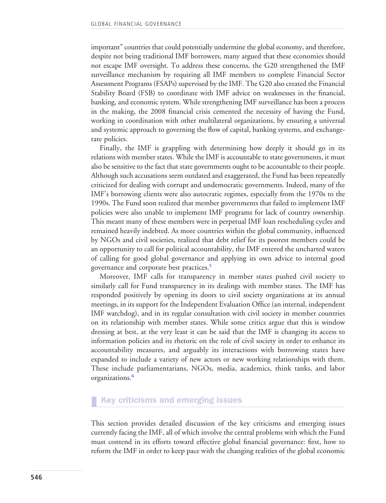important" countries that could potentially undermine the global economy, and therefore, despite not being traditional IMF borrowers, many argued that these economies should not escape IMF oversight. To address these concerns, the G20 strengthened the IMF surveillance mechanism by requiring all IMF members to complete Financial Sector Assessment Programs (FSAPs) supervised by the IMF. The G20 also created the Financial Stability Board (FSB) to coordinate with IMF advice on weaknesses in the financial, banking, and economic system. While strengthening IMF surveillance has been a process in the making, the 2008 financial crisis cemented the necessity of having the Fund, working in coordination with other multilateral organizations, by ensuring a universal and systemic approach to governing the flow of capital, banking systems, and exchangerate policies.

Finally, the IMF is grappling with determining how deeply it should go in its relations with member states. While the IMF is accountable to state governments, it must also be sensitive to the fact that state governments ought to be accountable to their people. Although such accusations seem outdated and exaggerated, the Fund has been repeatedly criticized for dealing with corrupt and undemocratic governments. Indeed, many of the IMF's borrowing clients were also autocratic regimes, especially from the 1970s to the 1990s. The Fund soon realized that member governments that failed to implement IMF policies were also unable to implement IMF programs for lack of country ownership. This meant many of these members were in perpetual IMF loan rescheduling cycles and remained heavily indebted. As more countries within the global community, influenced by NGOs and civil societies, realized that debt relief for its poorest members could be an opportunity to call for political accountability, the IMF entered the uncharted waters of calling for good global governance and applying its own advice to internal good governance and corporate best practices[.5](#page--1-0)

Moreover, IMF calls for transparency in member states pushed civil society to similarly call for Fund transparency in its dealings with member states. The IMF has responded positively by opening its doors to civil society organizations at its annual meetings, in its support for the Independent Evaluation Office (an internal, independent IMF watchdog), and in its regular consultation with civil society in member countries on its relationship with member states. While some critics argue that this is window dressing at best, at the very least it can be said that the IMF is changing its access to information policies and its rhetoric on the role of civil society in order to enhance its accountability measures, and arguably its interactions with borrowing states have expanded to include a variety of new actors or new working relationships with them. These include parliamentarians, NGOs, media, academics, think tanks, and labor organizations.<sup>[6](#page--1-0)</sup>

#### Key criticisms and emerging issues

This section provides detailed discussion of the key criticisms and emerging issues currently facing the IMF, all of which involve the central problems with which the Fund must contend in its efforts toward effective global financial governance: first, how to reform the IMF in order to keep pace with the changing realities of the global economic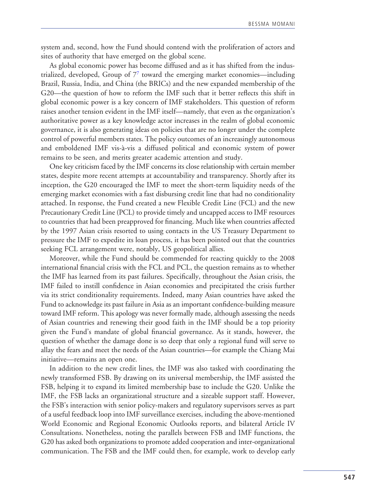<span id="page-8-0"></span>system and, second, how the Fund should contend with the proliferation of actors and sites of authority that have emerged on the global scene.

As global economic power has become diffused and as it has shifted from the indus trialized, developed, Group of 7[7](#page--1-0) toward the emerging market economies—including Brazil, Russia, India, and China (the BRICs) and the new expanded membership of the G20—the question of how to reform the IMF such that it better reflects this shift in global economic power is a key concern of IMF stakeholders. This question of reform raises another tension evident in the IMF itself—namely, that even as the organization's authoritative power as a key knowledge actor increases in the realm of global economic governance, it is also generating ideas on policies that are no longer under the complete control of powerful members states. The policy outcomes of an increasingly autonomous and emboldened IMF vis-à-vis a diffused political and economic system of power remains to be seen, and merits greater academic attention and study.

One key criticism faced by the IMF concerns its close relationship with certain member states, despite more recent attempts at accountability and transparency. Shortly after its inception, the G20 encouraged the IMF to meet the short-term liquidity needs of the emerging market economies with a fast disbursing credit line that had no conditionality attached. In response, the Fund created a new Flexible Credit Line (FCL) and the new Precautionary Credit Line (PCL) to provide timely and uncapped access to IMF resources to countries that had been preapproved for financing. Much like when countries affected by the 1997 Asian crisis resorted to using contacts in the US Treasury Department to pressure the IMF to expedite its loan process, it has been pointed out that the countries seeking FCL arrangement were, notably, US geopolitical allies.

Moreover, while the Fund should be commended for reacting quickly to the 2008 international financial crisis with the FCL and PCL, the question remains as to whether the IMF has learned from its past failures. Specifically, throughout the Asian crisis, the IMF failed to instill confidence in Asian economies and precipitated the crisis further via its strict conditionality requirements. Indeed, many Asian countries have asked the Fund to acknowledge its past failure in Asia as an important confidence-building measure toward IMF reform. This apology was never formally made, although assessing the needs of Asian countries and renewing their good faith in the IMF should be a top priority given the Fund's mandate of global financial governance. As it stands, however, the question of whether the damage done is so deep that only a regional fund will serve to allay the fears and meet the needs of the Asian countries—for example the Chiang Mai initiative—remains an open one.

In addition to the new credit lines, the IMF was also tasked with coordinating the newly transformed FSB. By drawing on its universal membership, the IMF assisted the FSB, helping it to expand its limited membership base to include the G20. Unlike the IMF, the FSB lacks an organizational structure and a sizeable support staff. However, the FSB's interaction with senior policy-makers and regulatory supervisors serves as part of a useful feedback loop into IMF surveillance exercises, including the above-mentioned World Economic and Regional Economic Outlooks reports, and bilateral Article IV Consultations. Nonetheless, noting the parallels between FSB and IMF functions, the G20 has asked both organizations to promote added cooperation and inter-organizational communication. The FSB and the IMF could then, for example, work to develop early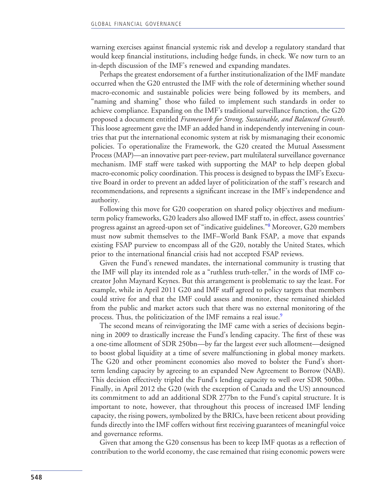warning exercises against financial systemic risk and develop a regulatory standard that would keep financial institutions, including hedge funds, in check. We now turn to an in-depth discussion of the IMF's renewed and expanding mandates.

Perhaps the greatest endorsement of a further institutionalization of the IMF mandate occurred when the G20 entrusted the IMF with the role of determining whether sound macro-economic and sustainable policies were being followed by its members, and "naming and shaming" those who failed to implement such standards in order to achieve compliance. Expanding on the IMF's traditional surveillance function, the G20 proposed a document entitled *Framework for Strong, Sustainable, and Balanced Growth*. This loose agreement gave the IMF an added hand in independently intervening in coun tries that put the international economic system at risk by mismanaging their economic policies. To operationalize the Framework, the G20 created the Mutual Assessment Process (MAP)—an innovative part peer-review, part multilateral surveillance governance mechanism. IMF staff were tasked with supporting the MAP to help deepen global macro-economic policy coordination. This process is designed to bypass the IMF's Executive Board in order to prevent an added layer of politicization of the staff 's research and recommendations, and represents a significant increase in the IMF's independence and authority.

Following this move for G20 cooperation on shared policy objectives and mediumterm policy frameworks, G20 leaders also allowed IMF staff to, in effect, assess countries' progress against an agreed-upon set of "indicative guidelines.["8](#page--1-0) Moreover, G20 members must now submit themselves to the IMF–World Bank FSAP, a move that expands existing FSAP purview to encompass all of the G20, notably the United States, which prior to the international financial crisis had not accepted FSAP reviews.

Given the Fund's renewed mandates, the international community is trusting that the IMF will play its intended role as a "ruthless truth-teller," in the words of IMF cocreator John Maynard Keynes. But this arrangement is problematic to say the least. For example, while in April 2011 G20 and IMF staff agreed to policy targets that members could strive for and that the IMF could assess and monitor, these remained shielded from the public and market actors such that there was no external monitoring of the process. Thus, the politicization of the IMF remains a real issue.<sup>[9](#page--1-0)</sup>

The second means of reinvigorating the IMF came with a series of decisions beginning in 2009 to drastically increase the Fund's lending capacity. The first of these was a one-time allotment of SDR 250bn—by far the largest ever such allotment—designed to boost global liquidity at a time of severe malfunctioning in global money markets. The G20 and other prominent economies also moved to bolster the Fund's shortterm lending capacity by agreeing to an expanded New Agreement to Borrow (NAB). This decision effectively tripled the Fund's lending capacity to well over SDR 500bn. Finally, in April 2012 the G20 (with the exception of Canada and the US) announced its commitment to add an additional SDR 277bn to the Fund's capital structure. It is important to note, however, that throughout this process of increased IMF lending capacity, the rising powers, symbolized by the BRICs, have been reticent about providing funds directly into the IMF coffers without first receiving guarantees of meaningful voice and governance reforms.

Given that among the G20 consensus has been to keep IMF quotas as a reflection of contribution to the world economy, the case remained that rising economic powers were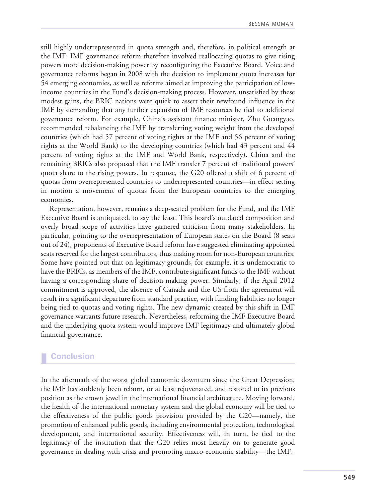<span id="page-10-0"></span>still highly underrepresented in quota strength and, therefore, in political strength at the IMF. IMF governance reform therefore involved reallocating quotas to give rising powers more decision-making power by reconfiguring the Executive Board. Voice and governance reforms began in 2008 with the decision to implement quota increases for 54 emerging economies, as well as reforms aimed at improving the participation of lowincome countries in the Fund's decision-making process. However, unsatisfied by these modest gains, the BRIC nations were quick to assert their newfound influence in the IMF by demanding that any further expansion of IMF resources be tied to additional governance reform. For example, China's assistant finance minister, Zhu Guangyao, recommended rebalancing the IMF by transferring voting weight from the developed countries (which had 57 percent of voting rights at the IMF and 56 percent of voting rights at the World Bank) to the developing countries (which had 43 percent and 44 percent of voting rights at the IMF and World Bank, respectively). China and the remaining BRICs also proposed that the IMF transfer 7 percent of traditional powers' quota share to the rising powers. In response, the G20 offered a shift of 6 percent of quotas from overrepresented countries to underrepresented countries—in effect setting in motion a movement of quotas from the European countries to the emerging economies.

Representation, however, remains a deep-seated problem for the Fund, and the IMF Executive Board is antiquated, to say the least. This board's outdated composition and overly broad scope of activities have garnered criticism from many stakeholders. In particular, pointing to the overrepresentation of European states on the Board (8 seats out of 24), proponents of Executive Board reform have suggested eliminating appointed seats reserved for the largest contributors, thus making room for non-European countries. Some have pointed out that on legitimacy grounds, for example, it is undemocratic to have the BRICs, as members of the IMF, contribute significant funds to the IMF without having a corresponding share of decision-making power. Similarly, if the April 2012 commitment is approved, the absence of Canada and the US from the agreement will result in a significant departure from standard practice, with funding liabilities no longer being tied to quotas and voting rights. The new dynamic created by this shift in IMF governance warrants future research. Nevertheless, reforming the IMF Executive Board and the underlying quota system would improve IMF legitimacy and ultimately global financial governance.

### **Conclusion**

In the aftermath of the worst global economic downturn since the Great Depression, the IMF has suddenly been reborn, or at least rejuvenated, and restored to its previous position as the crown jewel in the international financial architecture. Moving forward, the health of the international monetary system and the global economy will be tied to the effectiveness of the public goods provision provided by the G20—namely, the promotion of enhanced public goods, including environmental protection, technological development, and international security. Effectiveness will, in turn, be tied to the legitimacy of the institution that the G20 relies most heavily on to generate good governance in dealing with crisis and promoting macro-economic stability—the IMF.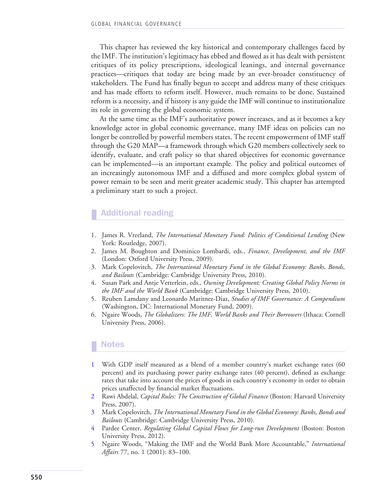This chapter has reviewed the key historical and contemporary challenges faced by the IMF. The institution's legitimacy has ebbed and flowed as it has dealt with persistent critiques of its policy prescriptions, ideological leanings, and internal governance practices—critiques that today are being made by an ever-broader constituency of stakeholders. The Fund has finally begun to accept and address many of these critiques and has made efforts to reform itself. However, much remains to be done. Sustained reform is a necessity, and if history is any guide the IMF will continue to institutionalize its role in governing the global economic system.

At the same time as the IMF's authoritative power increases, and as it becomes a key knowledge actor in global economic governance, many IMF ideas on policies can no longer be controlled by powerful members states. The recent empowerment of IMF staff through the G20 MAP—a framework through which G20 members collectively seek to identify, evaluate, and craft policy so that shared objectives for economic governance can be implemented—is an important example. The policy and political outcomes of an increasingly autonomous IMF and a diffused and more complex global system of power remain to be seen and merit greater academic study. This chapter has attempted a preliminary start to such a project.

#### **Additional reading**

- 1. James R. Vreeland, *The International Monetary Fund: Politics of Conditional Lending* (New York: Routledge, 2007).
- 2. James M. Boughton and Dominico Lombardi, eds., *Finance, Development, and the IMF* (London: Oxford University Press, 2009).
- 3. Mark Copelovitch, *The International Monetary Fund in the Global Economy: Banks, Bonds, and Bailouts* (Cambridge: Cambridge University Press, 2010).
- 4. Susan Park and Antje Vetterlein, eds., *Owning Development: Creating Global Policy Norms in the IMF and the World Bank* (Cambridge: Cambridge University Press, 2010).
- 5. Reuben Lamdany and Leonardo Maritnez-Diaz, *Studies of IMF Governance: A Compendium* (Washington, DC: International Monetary Fund, 2009).
- 6. Ngaire Woods, *The Globalizers: The IMF, World Banks and Their Borrowers* (Ithaca: Cornell University Press, 2006).

#### **Notes**

- [1](#page--1-0) With GDP itself measured as a blend of a member country's market exchange rates (60 percent) and its purchasing power parity exchange rates (40 percent), defined as exchange rates that take into account the prices of goods in each country's economy in order to obtain prices unaffected by financial market fluctuations.
- [2](#page--1-0) Rawi Abdelal, *Capital Rules: The Construction of Global Finance* (Boston: Harvard University Press, 2007).
- [3](#page--1-0) Mark Copelovitch, *The International Monetary Fund in the Global Economy: Banks, Bonds and Bailouts* (Cambridge: Cambridge University Press, 2010).
- [4](#page--1-0) Pardee Center, *Regulating Global Capital Flows for Long-run Development* (Boston: Boston University Press, 2012).
- [5](#page--1-0) Ngaire Woods, "Making the IMF and the World Bank More Accountable," *International Affairs* 77, no. 1 (2001): 83–100.